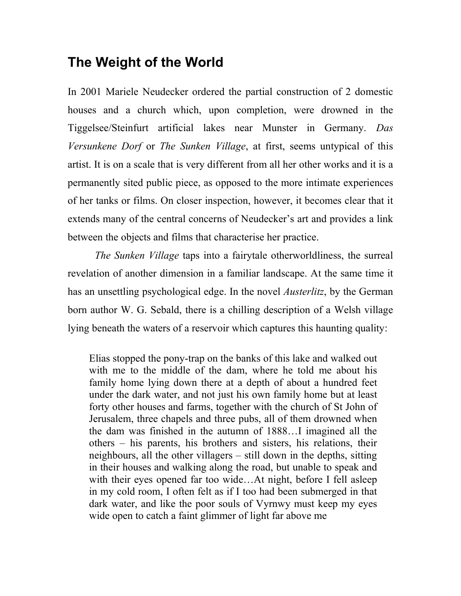## **The Weight of the World**

In 2001 Mariele Neudecker ordered the partial construction of 2 domestic houses and a church which, upon completion, were drowned in the Tiggelsee/Steinfurt artificial lakes near Munster in Germany. *Das Versunkene Dorf* or *The Sunken Village*, at first, seems untypical of this artist. It is on a scale that is very different from all her other works and it is a permanently sited public piece, as opposed to the more intimate experiences of her tanks or films. On closer inspection, however, it becomes clear that it extends many of the central concerns of Neudecker's art and provides a link between the objects and films that characterise her practice.

*The Sunken Village* taps into a fairytale otherworldliness, the surreal revelation of another dimension in a familiar landscape. At the same time it has an unsettling psychological edge. In the novel *Austerlitz*, by the German born author W. G. Sebald, there is a chilling description of a Welsh village lying beneath the waters of a reservoir which captures this haunting quality:

Elias stopped the pony-trap on the banks of this lake and walked out with me to the middle of the dam, where he told me about his family home lying down there at a depth of about a hundred feet under the dark water, and not just his own family home but at least forty other houses and farms, together with the church of St John of Jerusalem, three chapels and three pubs, all of them drowned when the dam was finished in the autumn of 1888…I imagined all the others – his parents, his brothers and sisters, his relations, their neighbours, all the other villagers – still down in the depths, sitting in their houses and walking along the road, but unable to speak and with their eyes opened far too wide...At night, before I fell asleep in my cold room, I often felt as if I too had been submerged in that dark water, and like the poor souls of Vyrnwy must keep my eyes wide open to catch a faint glimmer of light far above me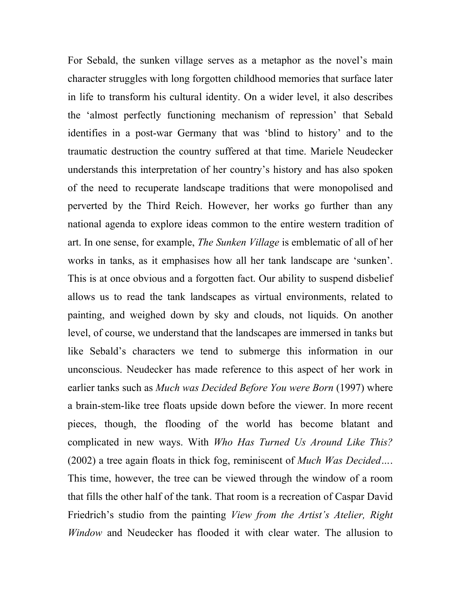For Sebald, the sunken village serves as a metaphor as the novel's main character struggles with long forgotten childhood memories that surface later in life to transform his cultural identity. On a wider level, it also describes the 'almost perfectly functioning mechanism of repression' that Sebald identifies in a post-war Germany that was 'blind to history' and to the traumatic destruction the country suffered at that time. Mariele Neudecker understands this interpretation of her country's history and has also spoken of the need to recuperate landscape traditions that were monopolised and perverted by the Third Reich. However, her works go further than any national agenda to explore ideas common to the entire western tradition of art. In one sense, for example, *The Sunken Village* is emblematic of all of her works in tanks, as it emphasises how all her tank landscape are 'sunken'. This is at once obvious and a forgotten fact. Our ability to suspend disbelief allows us to read the tank landscapes as virtual environments, related to painting, and weighed down by sky and clouds, not liquids. On another level, of course, we understand that the landscapes are immersed in tanks but like Sebald's characters we tend to submerge this information in our unconscious. Neudecker has made reference to this aspect of her work in earlier tanks such as *Much was Decided Before You were Born* (1997) where a brain-stem-like tree floats upside down before the viewer. In more recent pieces, though, the flooding of the world has become blatant and complicated in new ways. With *Who Has Turned Us Around Like This?* (2002) a tree again floats in thick fog, reminiscent of *Much Was Decided…*. This time, however, the tree can be viewed through the window of a room that fills the other half of the tank. That room is a recreation of Caspar David Friedrich's studio from the painting *View from the Artist's Atelier, Right Window* and Neudecker has flooded it with clear water. The allusion to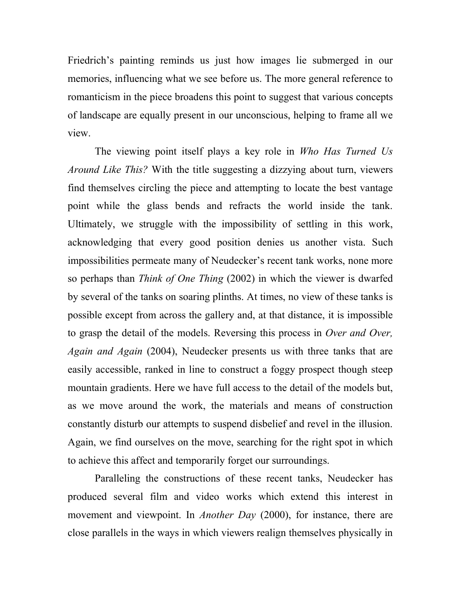Friedrich's painting reminds us just how images lie submerged in our memories, influencing what we see before us. The more general reference to romanticism in the piece broadens this point to suggest that various concepts of landscape are equally present in our unconscious, helping to frame all we view.

The viewing point itself plays a key role in *Who Has Turned Us Around Like This?* With the title suggesting a dizzying about turn, viewers find themselves circling the piece and attempting to locate the best vantage point while the glass bends and refracts the world inside the tank. Ultimately, we struggle with the impossibility of settling in this work, acknowledging that every good position denies us another vista. Such impossibilities permeate many of Neudecker's recent tank works, none more so perhaps than *Think of One Thing* (2002) in which the viewer is dwarfed by several of the tanks on soaring plinths. At times, no view of these tanks is possible except from across the gallery and, at that distance, it is impossible to grasp the detail of the models. Reversing this process in *Over and Over, Again and Again* (2004), Neudecker presents us with three tanks that are easily accessible, ranked in line to construct a foggy prospect though steep mountain gradients. Here we have full access to the detail of the models but, as we move around the work, the materials and means of construction constantly disturb our attempts to suspend disbelief and revel in the illusion. Again, we find ourselves on the move, searching for the right spot in which to achieve this affect and temporarily forget our surroundings.

Paralleling the constructions of these recent tanks, Neudecker has produced several film and video works which extend this interest in movement and viewpoint. In *Another Day* (2000), for instance, there are close parallels in the ways in which viewers realign themselves physically in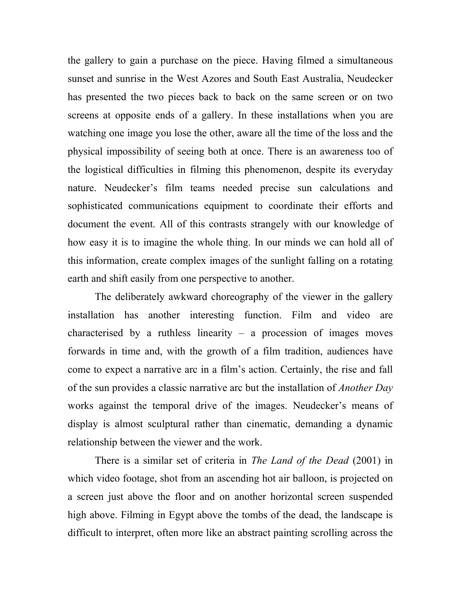the gallery to gain a purchase on the piece. Having filmed a simultaneous sunset and sunrise in the West Azores and South East Australia, Neudecker has presented the two pieces back to back on the same screen or on two screens at opposite ends of a gallery. In these installations when you are watching one image you lose the other, aware all the time of the loss and the physical impossibility of seeing both at once. There is an awareness too of the logistical difficulties in filming this phenomenon, despite its everyday nature. Neudecker's film teams needed precise sun calculations and sophisticated communications equipment to coordinate their efforts and document the event. All of this contrasts strangely with our knowledge of how easy it is to imagine the whole thing. In our minds we can hold all of this information, create complex images of the sunlight falling on a rotating earth and shift easily from one perspective to another.

The deliberately awkward choreography of the viewer in the gallery installation has another interesting function. Film and video are characterised by a ruthless linearity – a procession of images moves forwards in time and, with the growth of a film tradition, audiences have come to expect a narrative arc in a film's action. Certainly, the rise and fall of the sun provides a classic narrative arc but the installation of *Another Day* works against the temporal drive of the images. Neudecker's means of display is almost sculptural rather than cinematic, demanding a dynamic relationship between the viewer and the work.

There is a similar set of criteria in *The Land of the Dead* (2001) in which video footage, shot from an ascending hot air balloon, is projected on a screen just above the floor and on another horizontal screen suspended high above. Filming in Egypt above the tombs of the dead, the landscape is difficult to interpret, often more like an abstract painting scrolling across the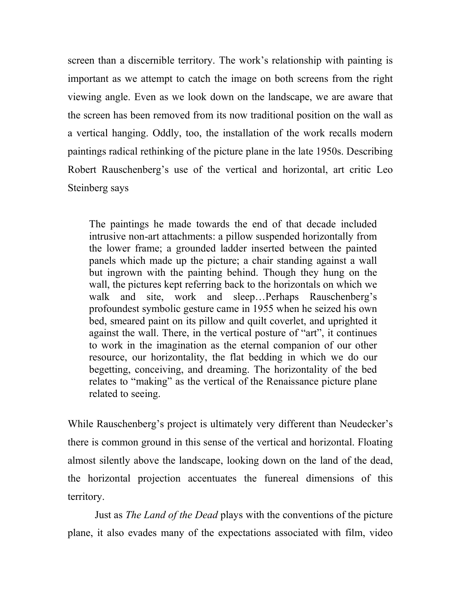screen than a discernible territory. The work's relationship with painting is important as we attempt to catch the image on both screens from the right viewing angle. Even as we look down on the landscape, we are aware that the screen has been removed from its now traditional position on the wall as a vertical hanging. Oddly, too, the installation of the work recalls modern paintings radical rethinking of the picture plane in the late 1950s. Describing Robert Rauschenberg's use of the vertical and horizontal, art critic Leo Steinberg says

The paintings he made towards the end of that decade included intrusive non-art attachments: a pillow suspended horizontally from the lower frame; a grounded ladder inserted between the painted panels which made up the picture; a chair standing against a wall but ingrown with the painting behind. Though they hung on the wall, the pictures kept referring back to the horizontals on which we walk and site, work and sleep…Perhaps Rauschenberg's profoundest symbolic gesture came in 1955 when he seized his own bed, smeared paint on its pillow and quilt coverlet, and uprighted it against the wall. There, in the vertical posture of "art", it continues to work in the imagination as the eternal companion of our other resource, our horizontality, the flat bedding in which we do our begetting, conceiving, and dreaming. The horizontality of the bed relates to "making" as the vertical of the Renaissance picture plane related to seeing.

While Rauschenberg's project is ultimately very different than Neudecker's there is common ground in this sense of the vertical and horizontal. Floating almost silently above the landscape, looking down on the land of the dead, the horizontal projection accentuates the funereal dimensions of this territory.

Just as *The Land of the Dead* plays with the conventions of the picture plane, it also evades many of the expectations associated with film, video